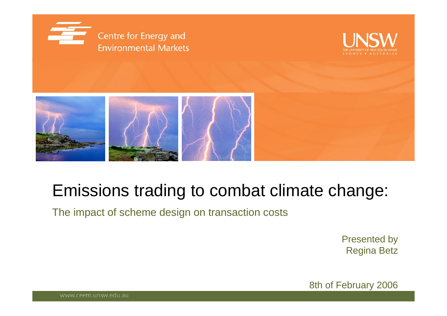





#### Emissions trading to combat climate change:

The impact of scheme design on transaction costs

Presented by Regina Betz

8th of February 2006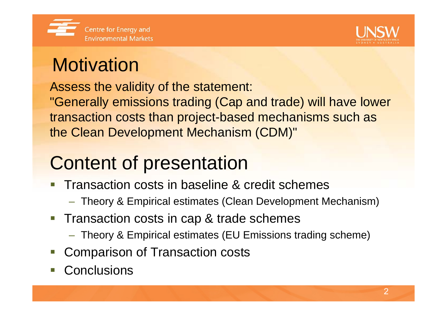



## **Motivation**

Assess the validity of the statement:

"Generally emissions trading (Cap and trade) will have lower transaction costs than project-based mechanisms such as the Clean Development Mechanism (CDM)"

# Content of presentation

- Transaction costs in baseline & credit schemes
	- Theory & Empirical estimates (Clean Development Mechanism)
- $\overline{\mathcal{L}^{\mathcal{A}}}$  Transaction costs in cap & trade schemes
	- Theory & Empirical estimates (EU Emissions trading scheme)
- $\mathcal{L}_{\mathcal{A}}$ Comparison of Transaction costs
- **Conclusions**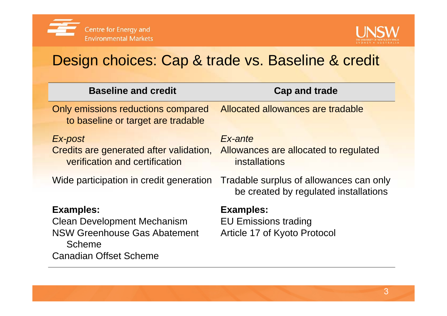



#### Design choices: Cap & trade vs. Baseline & credit

| <b>Baseline and credit</b>                                                                                                                      | <b>Cap and trade</b>                                                             |
|-------------------------------------------------------------------------------------------------------------------------------------------------|----------------------------------------------------------------------------------|
| Only emissions reductions compared<br>to baseline or target are tradable                                                                        | Allocated allowances are tradable                                                |
| Ex-post<br>Credits are generated after validation,<br>verification and certification                                                            | Ex-ante<br>Allowances are allocated to regulated<br><i>installations</i>         |
| Wide participation in credit generation                                                                                                         | Tradable surplus of allowances can only<br>be created by regulated installations |
| <b>Examples:</b><br><b>Clean Development Mechanism</b><br><b>NSW Greenhouse Gas Abatement</b><br><b>Scheme</b><br><b>Canadian Offset Scheme</b> | <b>Examples:</b><br><b>EU Emissions trading</b><br>Article 17 of Kyoto Protocol  |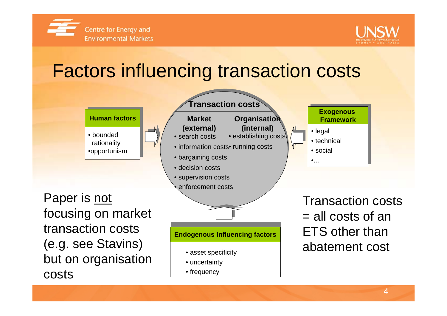



## Factors influencing transaction costs

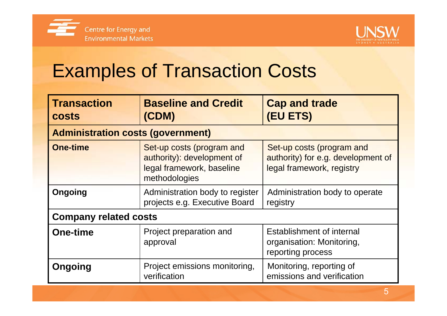



## Examples of Transaction Costs

| <b>Transaction</b><br><b>costs</b>       | <b>Baseline and Credit</b><br>(CDM)                                                                            | <b>Cap and trade</b><br>(EU ETS)                                                             |  |  |  |
|------------------------------------------|----------------------------------------------------------------------------------------------------------------|----------------------------------------------------------------------------------------------|--|--|--|
| <b>Administration costs (government)</b> |                                                                                                                |                                                                                              |  |  |  |
| <b>One-time</b>                          | Set-up costs (program and<br>authority): development of<br>legal framework, baseline<br>methodologies          | Set-up costs (program and<br>authority) for e.g. development of<br>legal framework, registry |  |  |  |
| Ongoing                                  | Administration body to register<br>Administration body to operate<br>projects e.g. Executive Board<br>registry |                                                                                              |  |  |  |
| <b>Company related costs</b>             |                                                                                                                |                                                                                              |  |  |  |
| <b>One-time</b>                          | Project preparation and<br>approval                                                                            | Establishment of internal<br>organisation: Monitoring,<br>reporting process                  |  |  |  |
| Ongoing                                  | Project emissions monitoring,<br>verification                                                                  | Monitoring, reporting of<br>emissions and verification                                       |  |  |  |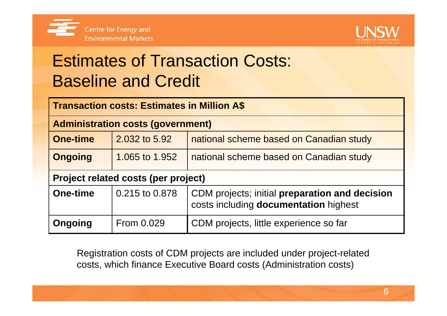



## Estimates of Transaction Costs: Baseline and Credit

| <b>Transaction costs: Estimates in Million A\$</b> |                |                                                                                         |  |  |
|----------------------------------------------------|----------------|-----------------------------------------------------------------------------------------|--|--|
| <b>Administration costs (government)</b>           |                |                                                                                         |  |  |
| <b>One-time</b>                                    | 2.032 to 5.92  | national scheme based on Canadian study                                                 |  |  |
| <b>Ongoing</b>                                     | 1.065 to 1.952 | national scheme based on Canadian study                                                 |  |  |
| <b>Project related costs (per project)</b>         |                |                                                                                         |  |  |
| <b>One-time</b>                                    | 0.215 to 0.878 | CDM projects; initial preparation and decision<br>costs including documentation highest |  |  |
| Ongoing                                            | From 0.029     | CDM projects, little experience so far                                                  |  |  |

Registration costs of CDM projects are included under project-related costs, which finance Executive Board costs (Administration costs)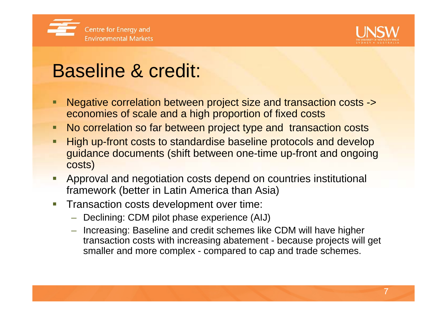



## Baseline & credit:

- Negative correlation between project size and transaction costs -> economies of scale and a high proportion of fixed costs
- **No correlation so far between project type and transaction costs**
- **Service Service**  High up-front costs to standardise baseline protocols and develop guidance documents (shift between one-time up-front and ongoing costs)
- eri<br>Ka Approval and negotiation costs depend on countries institutional framework (better in Latin America than Asia)
- erial<br>Ma Transaction costs development over time:
	- Declining: CDM pilot phase experience (AIJ)
	- Increasing: Baseline and credit schemes like CDM will have higher transaction costs with increasing abatement - because projects will get smaller and more complex - compared to cap and trade schemes.

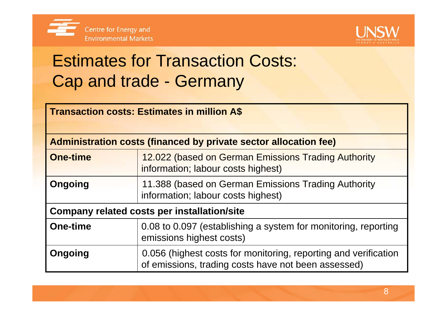



### Estimates for Transaction Costs: Cap and trade - Germany

| <b>Transaction costs: Estimates in million A\$</b> |  |  |  |
|----------------------------------------------------|--|--|--|
|                                                    |  |  |  |

| Administration costs (financed by private sector allocation fee) |                                                                                                                        |  |
|------------------------------------------------------------------|------------------------------------------------------------------------------------------------------------------------|--|
| <b>One-time</b>                                                  | 12.022 (based on German Emissions Trading Authority<br>information; labour costs highest)                              |  |
| <b>Ongoing</b>                                                   | 11.388 (based on German Emissions Trading Authority<br>information; labour costs highest)                              |  |
| <b>Company related costs per installation/site</b>               |                                                                                                                        |  |
| <b>One-time</b>                                                  | 0.08 to 0.097 (establishing a system for monitoring, reporting<br>emissions highest costs)                             |  |
| Ongoing                                                          | 0.056 (highest costs for monitoring, reporting and verification<br>of emissions, trading costs have not been assessed) |  |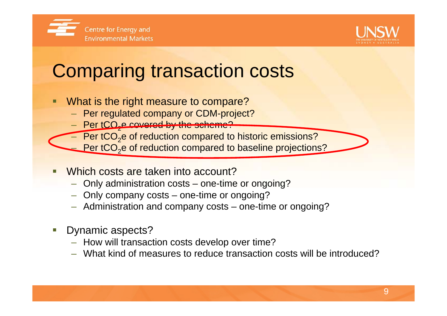



## Comparing transaction costs

- What is the right measure to compare?
	- Per regulated company or CDM-project?
	- Per tCO<sub>z</sub>e covered by the scheme?
	- $-$  Per tCO<sub>2</sub>e of reduction compared to historic emissions?
	- $=$  Per tCO<sub>2</sub>e of reduction compared to baseline projections?
- **Service Service**  Which costs are taken into account?
	- Only administration costs one-time or ongoing?
	- Only company costs one-time or ongoing?
	- Administration and company costs one-time or ongoing?
- erial<br>Ma Dynamic aspects?
	- How will transaction costs develop over time?
	- What kind of measures to reduce transaction costs will be introduced?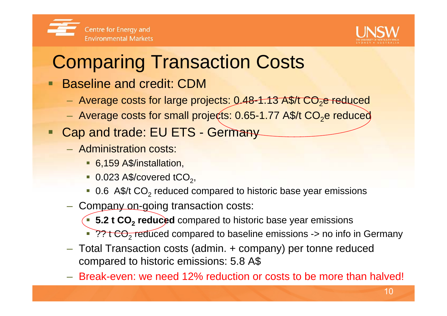

## Comparing Transaction Costs

- Baseline and credit: CDM
	- Average costs for large projects: 0.48-<del>1.13 A\$/t CO<sub>2</sub>e re</del>duced
	- $-$  Average costs for small projects: 0.65-1.77 A\$/t CO $_2$ e reduced
- **Service Service** Cap and trade: EU ETS - Germany
	- Administration costs:
		- 6,159 A\$/installation,
		- $\bullet$  0.023 A\$/covered tCO<sub>2</sub>,
		- $\blacksquare$  0.6 A\$/t CO<sub>2</sub> reduced compared to historic base year emissions
	- **Hart Communication** – Com<u>pany on-g</u>oing transaction costs:
		- **5.2 t CO<sub>2</sub> reduced** compared to historic base year emissions
		- ?? t CO<sub>2</sub> reduced compared to baseline emissions -> no info in Germany
	- Total Transaction costs (admin. + company) per tonne reduced compared to historic emissions: 5.8 A\$
	- Break-even: we need 12% reduction or costs to be more than halved!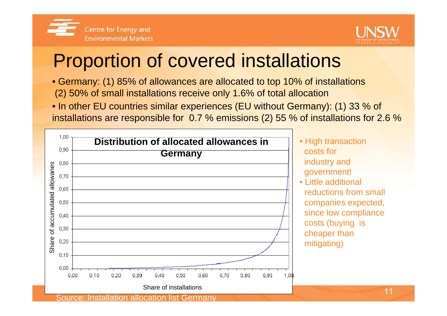



## Proportion of covered installations

- Germany: (1) 85% of allowances are allocated to top 10% of installations (2) 50% of small installations receive only 1.6% of total allocation
- In other EU countries similar experiences (EU without Germany): (1) 33 % of installations are responsible for 0.7 % emissions (2) 55 % of installations for 2.6 %

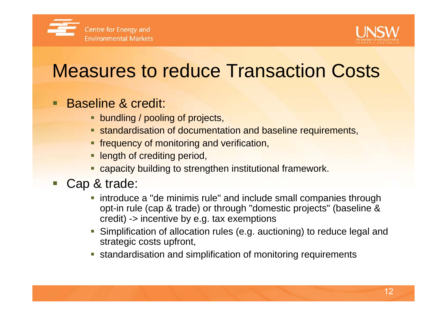



## Measures to reduce Transaction Costs

#### Baseline & credit:

- **bundling / pooling of projects,**
- **Standardisation of documentation and baseline requirements,**
- **frequency of monitoring and verification,**
- **Example 1** length of crediting period,
- **Example: 1** capacity building to strengthen institutional framework.
- Cap & trade:
	- **introduce a "de minimis rule" and include small companies through** opt-in rule (cap & trade) or through "domestic projects" (baseline & credit) -> incentive by e.g. tax exemptions
	- Simplification of allocation rules (e.g. auctioning) to reduce legal and strategic costs upfront,
	- standardisation and simplification of monitoring requirements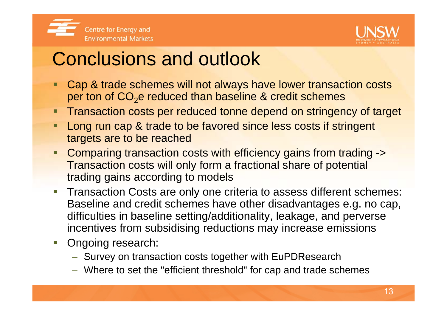



### Conclusions and outlook

- Cap & trade schemes will not always have lower transaction costs per ton of CO<sub>2</sub>e reduced than baseline & credit schemes
- Transaction costs per reduced tonne depend on stringency of target
- Long run cap & trade to be favored since less costs if stringent targets are to be reached
- Comparing transaction costs with efficiency gains from trading -> Transaction costs will only form a fractional share of potential trading gains according to models
- **Transaction Costs are only one criteria to assess different schemes:** Baseline and credit schemes have other disadvantages e.g. no cap, difficulties in baseline setting/additionality, leakage, and perverse incentives from subsidising reductions may increase emissions
- **Dianglerige Diange Diange 10.** 
	- $\mathcal{L}_{\mathcal{A}}$  $-$  Survey on transaction costs together with EuPDResearch
	- Where to set the "efficient threshold" for cap and trade schemes